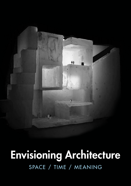

# Envisioning Architecture SPACE / TIME / MEANING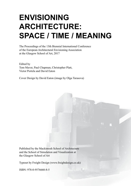# **ENVISIONING ARCHITECTURE: SPACE / TIME / MEANING**

The Proceedings of the 13th Biennial International Conference of the European Architectural Envisioning Association at the Glasgow School of Art, 2017

Edited by Tom Maver, Paul Chapman, Christopher Platt, Victor Portela and David Eaton

Cover Design by David Eaton (image by Olga Tarasova)

Published by the Mackintosh School of Architecture and the School of Simulation and Visualization at the Glasgow School of Art

Typeset by Freight Design (www.freightdesign.co.uk)

ISBN: 978-0-9576660-8-5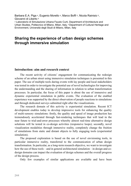Barbara E.A. Piga <sup>a</sup>, Eugenio Morello <sup>a</sup>, Marco Boffi <sup>b</sup>, Nicola Rainisio <sup>b</sup>, Giovanni di Liberto b a Laboratorio di Simulazione Urbana Fausto Curti, Department of Architecture and Urban Studies, Politecnico di Milano, Milan, Italy, **b** Department of Cultural Heritage and

Environment, Università degli Studi di Milano, Milan, Italy

## **Sharing the experience of urban design schemes through immersive simulation**

#### **Introduction: aim and research context**

The recent activity of citizens' engagement for communicating the redesign scheme of an urban street using immersive simulation techniques is presented in this paper. The use of multiple tools during events with lay people and local stakeholders was tested in order to investigate the potential use of novel technologies for improving the understanding and the sharing of information in relation to urban transformation processes. In particular, the focus of this paper is about the use of immersive and dynamic experiential simulation in public events. The evaluation of the enabled experience was supported by the direct observation of people reactions to simulations and through dedicated surveys submitted right after the visualizations.

The research domain of this activity is experiential simulation. Recent ICT development enables today to develop impressive tools for enhancing the quality of multi-sensory simulations: firstly, the quality and speed of image production has tremendously accelerated through fast-rendering techniques that will lead in the near future to trial-and-error processes whereby almost real-time alternative design solutions will be tested in co-design activities (responsive loops); secondly, novel visualization modalities through immersive reality, completely change the fruition of simulations from static and distant objects to fully engaging tools (experiential simulation).

The proposed exploration is based on the use of novel envisioning tools, in particular immersive reality, transferred to the communication of urban design transformation. In particular, as a long-term research objective, we want to investigate how the use of these tools – and in general architectural simulation – in design and codesign domains can impact the evaluation of design schemes and the overall progress of the design process.

Only few examples of similar applications are available and have been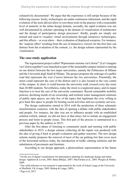exhaustively documented<sup>1</sup>. We argue that the experience is still unripe because of the following reasons: firstly, technologies are under continuous refinement, and the rapid evolution of the tools did not allow to root these tools in the practice with a reasonable level of maturity in the urban design domain; secondly, the rapid evolution was not well documented by scholars operating in the domain of visualization of architecture and the design of participatory design processes<sup>2</sup>; thirdly, people are simply not trained and used to visualize virtual environments through immersive technologies, and this affects – or even alters – their evaluation of displayed scenarios. For instance, the 'surprise effect' resulting from the use of immersive viewers for the first time can distract from the evaluation of the content, i.e. the design scheme represented by the visualization.

#### **The case-study application**

The regeneration project called "Ripensiamo insieme via Celoria!" (Let's imagine via Celoria together!) was launched as part of the sustainable campus initiative running on our district between the two major universities, namely the Politecnico di Milano and the Università degli Studi di Milano. The project proposes the redesign of a public road that represents the *trait d'union* between the two universities. Potentially, the street could represent the core of the district and it is also located at the very centre of the campus. In short, it could become the university walk crossed every day more than 20.000 students. Nevertheless, today the street is a neglected space, and its major function is to host the cars of the university commuters. Recent sustainable mobility policies, declining trends of car ownership, and resilient water management solutions of public open spaces, are only few of the topics that legitimate the civic willing to give back this space to people for hosting social activities and eco-systemic services.

The design exploration started in 2014 with the production of three schematic transformation scenarios, with the idea of opening a debate with public stakeholders and people. For instance, the idea was not to influence people with an established solution (which, indeed, we did not have at that time), but to initiate an engagement process and listen to people issues. This first part of the process is summarized in a previous paper by the authors in 20153.

After the first phase of listening to community needs and meeting with public stakeholders in 2015, a design scheme collecting all the inputs was produced with the idea of giving it back to people evaluation and gather reactions. The new design scheme mainly proposes the removal of most of the car parking lots that cover most of the horizontal surfaces today, the introduction of traffic calming solutions and the substitution of pavements and furniture.

According to our design approach, a photorealistic representation of the future

<sup>1</sup> On the use of digital visualizations for participatory planning for landscape design and urban design: Appleton & Lovett, 2005; Bates-Brkljac, 2007; MacFarlane at al., 2005; Wergles & Muhar, 2009.

<sup>2</sup> One solid reference to our research is represented by the work of Eckart Lange at the University of Sheffield, UK (Lange, 2005; Bishop & Lange, 2005).

<sup>3</sup> Piga et al, 2015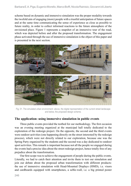scheme based on dynamic and immersive simulation was the proper modality towards the twofold aim of engaging (more) people with a trustful anticipation of future spaces and at the same time communicating the sense of experience as close as possible to future reality, in order to collect informed reactions to the future atmosphere of the envisioned place. Figure 1 represents a snapshot of an immersive tour of the road, which was depicted before and after the proposed transformation. The engagement phase activated through the use of immersive simulation is the object of this paper and is presented in the next section.



Fig. 01. The simulated urban environment: above, the digital representation of the current street landscape and below, the proposed design scheme.

#### **The application: using immersive simulation in public events**

Three public events provided the testbed for our methodology. The first occasion was an evening meeting organized at the municipal hall totally dedicated to the exploration of the redesign project. On the opposite, the second and the third events were outdoor activities (one happening directly on the street interested by the redesign process), which were not directly related to our exploration, because one was the Spring Party organized by the students and the second was a day dedicated to outdoor sport activities. This remark is important because not all the people we engaged during the events had a precise idea about the street redesign project, hence totally free of any prejudice about the transformation.

Our first scope was to achieve the engagement of people during the public events. Literally, we had to catch their attention and invite them to test our simulation and join our debate about the proposed urban transformation with different products: the use of immersive simulation with Head-Mounted Displays (HMD), i.e. visors and cardboards equipped with smartphones, a selfie-wall, i.e. a big printed poster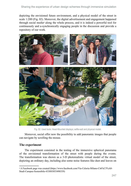depicting the envisioned future environment, and a physical model of the street in scale 1:200 (Fig. 02). Moreover, the digital advertisement and engagement happened through social media4 along the whole process, and it is indeed a powerful tool for continuously and a-synchronically engaging people in the discussion and provide a repository of our work.



Fig. 02. Used tools: Head-Mounted displays; selfie-wall and physical model.

Moreover, social offer now the possibility to add panoramic images that people can navigate by scrolling the mouse.

#### **The experiment**

The experiment consisted in the testing of the immersive spherical panorama of the envisioned transformation of the street with people during the events. The transformation was shown as a 3-D photorealistic virtual model of the street, depicting an ordinary day, including also some noise features like dust and leaves on

<sup>4</sup> A Facebook page was created (https://www.facebook.com/Via-Celoria-Milano-Citt%C3%A0- Studi-Campus-Sostenibile-433083053490339)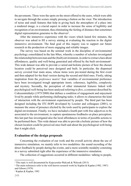the pavements. Three were the spots on the street offered to the users, which were able to navigate through the scenes simply pressing a button on the visor. The introduction of noise and small features that help in giving back the atmosphere of a place into a rendered image, is a crucial aspect in order to increase the sense of legibility and recognition of an environment, thus eliminating the feeling of distance that sometimes digital representation generates to the observer<sup>5</sup>.

After the immersive experience with the visors which lasted few minutes, the observer was asked to fill a survey aiming at evaluating the reaction to the digital immersive environment. The final goal of this inquiry was to support our future research in the production of more engaging and reliable images.

The survey was based on the seminal work in the discipline of environmental psychology consolidated in the late 80ies, whereby a number of scholars investigated the relationship between man and the (built) environment, in order to extract clues about affordances, quality and well-being generated and offered by the built environment<sup>6</sup>. This wide dataset was able to provide a varied and holistic picture of how the chosen location could be perceived once designed and built. In particular, the dispensed survey covered four main areas, whose items were pre-tested during the first event and then adapted for the final version during the second and third ones. Firstly, taking inspiration from the *preference matrix*7 four variables of environmental preference have been investigated trough appropriate items: coherence, legibility, complexity and mystery. Secondly, the perception of other immaterial features linked with psychological well-being has been analysed referring to *flow*, a construct described by Csikszentmihalyi (1975/2000) that defines a condition of engagement and enjoyment lived by people while performing challenging tasks; it allows to characterize the kind of interaction with the environment experienced by people. The third part has been designed including the ITC-SOPI developed by Lessiter and colleagues (2001), to measure the sense of presence elicited by the tools used by participants to explore the digital environment. Finally, we have included a fourth part with free adjectives to be associated to the environment, to capture spontaneous feedbacks on place perception; this last part has investigated also the local affordances in terms of possible actions to be performed there. This wide dataset was able to provide a holistic picture of how the chosen location could be perceived once built and about the psychological well-being that it might elicit.

#### **Evaluation of the design proposals**

Concerning the evaluation of our work and the overall activity about the use of immersive simulation, we mainly refer to two modalities: the sound recording of the direct feedback by people during the events, and a more scientific modality consisting in a survey submitted right after the experience of the immersive simulation.

The collection of suggestions occurred in different modalities: talking to people,

<sup>5</sup> This topic is well documented by Kepczynska-Walczak & Walczak (2013)

<sup>6</sup> The main references refer to the well-known research work by Kaplan & Kaplan (1982, 1987) and Gibson (1979)

<sup>7</sup> Kaplan & Kaplan, 1982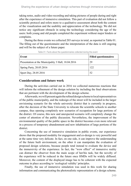taking notes, audio and video recording and taking pictures of people during and right after the experience of immersive simulation. This part of evaluation did not follow a scientific protocol and refers more to a qualitative assessment about both the content of the visualization and the usability and appreciation of the technology. We did not notice any significant obstacle in using the technology considering the age of the users: both young and old people completed the experiment without major hinders or complains.

During the three events we collected 203 surveys in total, as reported in Table 01. The filling out of the questionnaire and the interpretation of the data is still ongoing and will be the subject of a future paper.

| Event                                               | <b>Filled questionnaires</b> |
|-----------------------------------------------------|------------------------------|
| Presentation at the Municipality 3 Hall, 18.04.2016 | 29                           |
| Spring Party, 20.05.2016                            | 122                          |
| Sport Day, 28.05.2016                               | 52                           |

Table 01. Facts about the questionnaires collected during the event

#### **Considerations and future work**

During the activities carried out in 2016 we collected numerous reactions that will inform the refinement of the design solution by including the final observations that are pertinent with the development of the design scheme.

Afterwards, we will present again the refined design scheme to local representatives of the public municipality, and the redesign of the street will be included in the larger envisioning scenario for the whole university district that is currently in progress, after the decision of the State University to relocate the scientific schools to another campus, thus opening completely new scenarios of occupation for large portions of the district. Of course, this new and unexpected scenario will completely change the center of attention of the public discussion. Nevertheless, the improvement of the environmental quality of the public space in the district becomes even more relevant in a process of temporary abandonment and new inhabitation of large portions of the district.

Concerning the use of immersive simulation in public events, our experience shows that the proposed modality for engagement and co-design is very powerful and at the same time very delicate. In fact, on one side, it can improve the understanding of the future built environment, on the other it can manipulate the evaluation of proposed design solutions, because people tend instead to evaluate the device and the immersivity of the experience. In fact, the "wow effect" of immersive reality can distract the observer from the main scope of her/his task, but the novelty of the experience will be reduced in the future once HMDs will be widely diffused. Moreover, the content of the displayed image has to be coherent with the expected outcome in place according to 'ecological validity' principles.

Finally, the use of immersive simulation was used in this work for sharing information and communicating the photorealistic representation of a design scheme.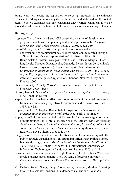Future work will extend the application to co-design processes in a continuous refinement of design solutions together with citizens and stakeholders. If this task seems to be too expensive and time-consuming under current conditions, it will be less and less the case in the future with the improvement of fast rendering techniques.

### **Bibliography**

- Appleton, Katy; Lovett, Andrew. "GIS-based visualisation of development proposals: reactions from planning and related professionals. *Computers, Environment and Urban Systems*. vol 29:3. 2005. p. 321-339.
- Bates-Brkljac, Nada. "Investigating perceptual responses and shared understanding of architectural design ideas when communicated through different forms of visual representations". In: Banissi, Ebad; Burkhard, Remo Aslak; Grinstein, Georges; Cvek, Urska; Trutschl, Marjan; Stuart, Liz; Wyeld, Theodor G; Andrienko, Gennady; Dykes, Jason; Jern, Mikael; Groth, Dennis; Ursyn, (eds.), *Proceedings of the 11th International Conference on Information Visualisation*. Zurich: IEEE. 2007. p. 348-353.
- Bishop, Ian D.; Lange, Eckart. *Visualization in Landscape and Environmental Planning: Technology and Applications*. London, New York: Taylor & Francis. 2005.
- Csikszentmihalyi, Mihaly. *Beyond boredom and anxiety*. 1975/2000. San Francisco: Jossey-Bass.
- Gibson, James J. *The ecological approach to human perception*. 1979. Boston, MA: Houghton Mifflin
- Kaplan, Stephen. Aesthetics, affect, and cognition—Environmental preference from an evolutionary perspective. Environment and Behavior. vol. 19:1. 1987. p. 3-32.
- Kaplan, Stephen, & Kaplan, Rachel (eds.). *Cognition and environment— Functioning in an uncertain world*. 1982. New York, NY: Praeger.
- Kepczynska-Walczak, Anetta; Walczak Bartosz M. "Visualising «genius loci» of built heritage". In: Morello, Eugenio & Piga, Barbara (eds.), *Envisioning Architecture: Design, Evaluation, Communication, Proceedings of the 11th conference of the European Architectural Envisioning Association*, Rome: Edizioni Nuova Cultura. 2013. p. 451-457.
- Lange, Eckart. "Issues and Questions for Research in Communicating with the Public through Visualizations". In: Buhmann, Erich; Paar, Philip; Bishop, Ian David; Lange, Eckart, *Trends in Real-Time Landscape Visualization and Participation*. Anhalt (Germany): 6th International Conference on Information Technologies in Landscape Architecture. 2005. p. 1-11.
- Lessiter, Jane; Freeman, Jonathan; Keogh, Edmund; Davidoff, Jules. "A crossmedia presence questionnaire: The ITC sense of presence inventory". *Presence: Teleoperators, and Virtual Environments*. vol. 10. 2001. p. 282- 297.
- MacFarlane, Robert; Stagg, Harry; Turner, Keith; Lievesley, Matthew. "Peering through the smoke? Tensions in landscape visualization". *Computers,*